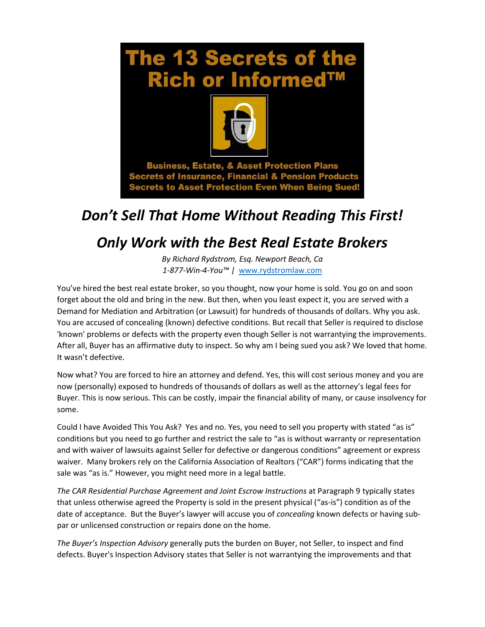

**Secrets of Insurance, Financial & Pension Products Secrets to Asset Protection Even When Being Sued!** 

## *Don't Sell That Home Without Reading This First!*

## *Only Work with the Best Real Estate Brokers*

*By Richard Rydstrom, Esq. Newport Beach, Ca 1-877-Win-4-You™ |* [www.rydstromlaw.com](http://www.rydstromlaw.com/)

You've hired the best real estate broker, so you thought, now your home is sold. You go on and soon forget about the old and bring in the new. But then, when you least expect it, you are served with a Demand for Mediation and Arbitration (or Lawsuit) for hundreds of thousands of dollars. Why you ask. You are accused of concealing (known) defective conditions. But recall that Seller is required to disclose 'known' problems or defects with the property even though Seller is not warrantying the improvements. After all, Buyer has an affirmative duty to inspect. So why am I being sued you ask? We loved that home. It wasn't defective.

Now what? You are forced to hire an attorney and defend. Yes, this will cost serious money and you are now (personally) exposed to hundreds of thousands of dollars as well as the attorney's legal fees for Buyer. This is now serious. This can be costly, impair the financial ability of many, or cause insolvency for some.

Could I have Avoided This You Ask? Yes and no. Yes, you need to sell you property with stated "as is" conditions but you need to go further and restrict the sale to "as is without warranty or representation and with waiver of lawsuits against Seller for defective or dangerous conditions" agreement or express waiver. Many brokers rely on the California Association of Realtors ("CAR") forms indicating that the sale was "as is." However, you might need more in a legal battle.

*The CAR Residential Purchase Agreement and Joint Escrow Instructions* at Paragraph 9 typically states that unless otherwise agreed the Property is sold in the present physical ("as-is") condition as of the date of acceptance. But the Buyer's lawyer will accuse you of *concealing* known defects or having subpar or unlicensed construction or repairs done on the home.

*The Buyer's Inspection Advisory* generally puts the burden on Buyer, not Seller, to inspect and find defects. Buyer's Inspection Advisory states that Seller is not warrantying the improvements and that